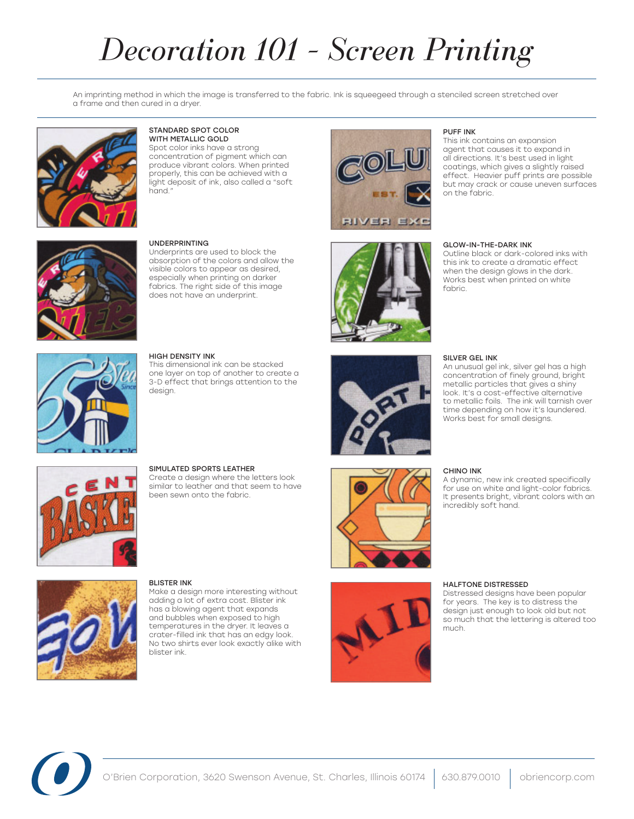# *Decoration 101 - Screen Printing*

An imprinting method in which the image is transferred to the fabric. Ink is squeegeed through a stenciled screen stretched over a frame and then cured in a dryer.



## Standard Spot Color with Metallic Gold

Spot color inks have a strong concentration of pigment which can produce vibrant colors. When printed properly, this can be achieved with a light deposit of ink, also called a "soft hand."



Underprints are used to block the absorption of the colors and allow the visible colors to appear as desired, especially when printing on darker fabrics. The right side of this image does not have an underprint.



## High Density Ink

This dimensional ink can be stacked one layer on top of another to create a 3-D effect that brings attention to the design.

Simulated Sports Leather

been sewn onto the fabric.

Blister Ink

Create a design where the letters look similar to leather and that seem to have



**BIVER EXC** 





Make a design more interesting without adding a lot of extra cost. Blister ink has a blowing agent that expands and bubbles when exposed to high temperatures in the dryer. It leaves a crater-filled ink that has an edgy look. No two shirts ever look exactly alike with blister ink.



## Puff Ink

This ink contains an expansion agent that causes it to expand in all directions. It's best used in light coatings, which gives a slightly raised effect. Heavier puff prints are possible but may crack or cause uneven surfaces on the fabric.

## Glow-in-the-Dark Ink

Outline black or dark-colored inks with this ink to create a dramatic effect when the design glows in the dark. Works best when printed on white fabric.

## Silver Gel Ink

An unusual gel ink, silver gel has a high concentration of finely ground, bright metallic particles that gives a shiny look. It's a cost-effective alternative to metallic foils. The ink will tarnish over time depending on how it's laundered. Works best for small designs.

### Chino Ink

A dynamic, new ink created specifically for use on white and light-color fabrics. It presents bright, vibrant colors with an incredibly soft hand.

## Halftone Distressed

Distressed designs have been popular for years. The key is to distress the design just enough to look old but not so much that the lettering is altered too much.